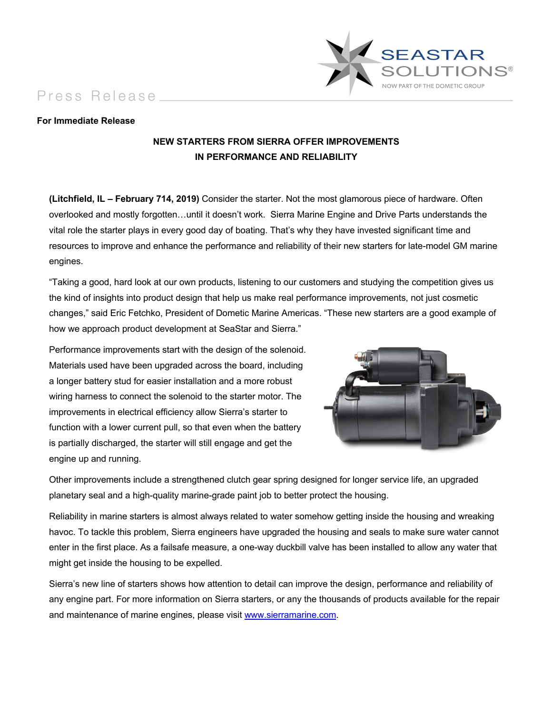Press Release



## **For Immediate Release**

## **NEW STARTERS FROM SIERRA OFFER IMPROVEMENTS IN PERFORMANCE AND RELIABILITY**

**(Litchfield, IL – February 714, 2019)** Consider the starter. Not the most glamorous piece of hardware. Often overlooked and mostly forgotten…until it doesn't work. Sierra Marine Engine and Drive Parts understands the vital role the starter plays in every good day of boating. That's why they have invested significant time and resources to improve and enhance the performance and reliability of their new starters for late-model GM marine engines.

"Taking a good, hard look at our own products, listening to our customers and studying the competition gives us the kind of insights into product design that help us make real performance improvements, not just cosmetic changes," said Eric Fetchko, President of Dometic Marine Americas. "These new starters are a good example of how we approach product development at SeaStar and Sierra."

Performance improvements start with the design of the solenoid. Materials used have been upgraded across the board, including a longer battery stud for easier installation and a more robust wiring harness to connect the solenoid to the starter motor. The improvements in electrical efficiency allow Sierra's starter to function with a lower current pull, so that even when the battery is partially discharged, the starter will still engage and get the engine up and running.



Other improvements include a strengthened clutch gear spring designed for longer service life, an upgraded planetary seal and a high-quality marine-grade paint job to better protect the housing.

Reliability in marine starters is almost always related to water somehow getting inside the housing and wreaking havoc. To tackle this problem, Sierra engineers have upgraded the housing and seals to make sure water cannot enter in the first place. As a failsafe measure, a one-way duckbill valve has been installed to allow any water that might get inside the housing to be expelled.

Sierra's new line of starters shows how attention to detail can improve the design, performance and reliability of any engine part. For more information on Sierra starters, or any the thousands of products available for the repair and maintenance of marine engines, please visit www.sierramarine.com.